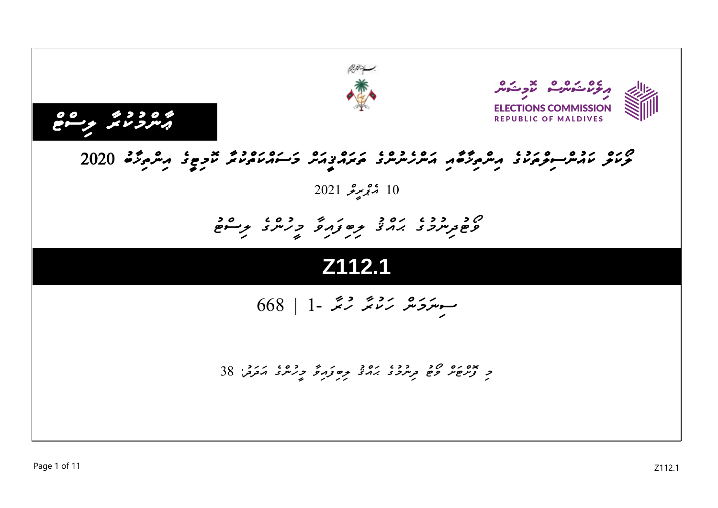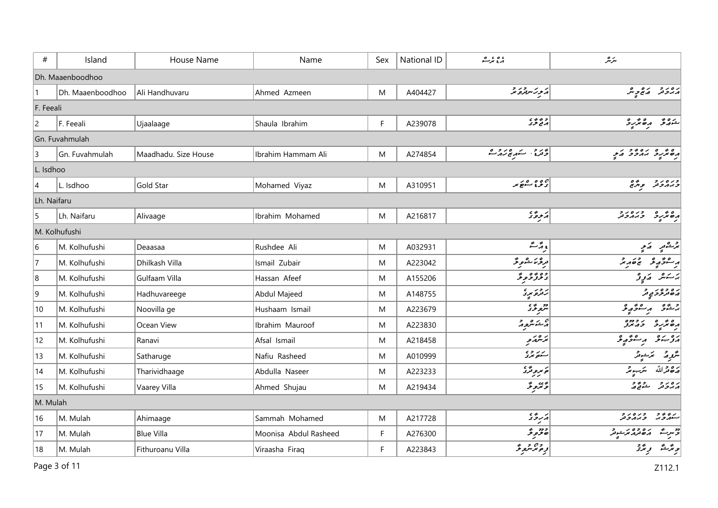| #           | Island           | House Name           | Name                  | Sex       | National ID | ، ه ، ره<br>مر، مر                  | يتربثر                                                                              |
|-------------|------------------|----------------------|-----------------------|-----------|-------------|-------------------------------------|-------------------------------------------------------------------------------------|
|             | Dh. Maaenboodhoo |                      |                       |           |             |                                     |                                                                                     |
|             | Dh. Maaenboodhoo | Ali Handhuvaru       | Ahmed Azmeen          | M         | A404427     | ر<br>مەمرىكسىلىرى ئىر               | גפנק גפקית                                                                          |
| F. Feeali   |                  |                      |                       |           |             |                                     |                                                                                     |
| 2           | F. Feeali        | Ujaalaage            | Shaula Ibrahim        | F         | A239078     | و ۶ په ۲<br>در تع نو د              |                                                                                     |
|             | Gn. Fuvahmulah   |                      |                       |           |             |                                     |                                                                                     |
| 3           | Gn. Fuvahmulah   | Maadhadu. Size House | Ibrahim Hammam Ali    | ${\sf M}$ | A274854     | در دی.<br>  د تر دي بر د مرد م      | رە ئرىر ئەمدە ئ                                                                     |
| L. Isdhoo   |                  |                      |                       |           |             |                                     |                                                                                     |
|             | L. Isdhoo        | Gold Star            | Mohamed Viyaz         | M         | A310951     | ە ە ە مەر<br>ئەمرى سىزى <i>غ</i> ىر | כנסנכ כם<br>כגונכנג פתה                                                             |
| Lh. Naifaru |                  |                      |                       |           |             |                                     |                                                                                     |
| 5           | Lh. Naifaru      | Alivaage             | Ibrahim Mohamed       | M         | A216817     | ەكىرىمى                             | مەھرىپ دىمەدد                                                                       |
|             | M. Kolhufushi    |                      |                       |           |             |                                     |                                                                                     |
| 6           | M. Kolhufushi    | Deaasaa              | Rushdee Ali           | M         | A032931     | ، ئەشە                              | برشور كرمي<br>مرشور كرمي                                                            |
| 17          | M. Kolhufushi    | Dhilkash Villa       | Ismail Zubair         | M         | A223042     | ىر پۇ ئەشقىر ئە                     |                                                                                     |
| 8           | M. Kolhufushi    | Gulfaam Villa        | Hassan Afeef          | M         | A155206     | دە دۇھەتى<br>ئىمىقى <i>قى</i> ر     |                                                                                     |
| 9           | M. Kolhufushi    | Hadhuvareege         | Abdul Majeed          | M         | A148755     | ر ور<br>رکوړن <sub>ځ</sub> و        | ر ۱۵۶۵ و در در است.<br>۱. ه مر در در در در است.<br>۱. د شوی در اور در در در در است. |
| 10          | M. Kolhufushi    | Noovilla ge          | Hushaam Ismail        | M         | A223679     | دد د ،<br>مر <sub>حو</sub> تر د     |                                                                                     |
| 11          | M. Kolhufushi    | Ocean View           | Ibrahim Mauroof       | M         | A223830     | لأستوهره                            | دە ئەرە دەدە                                                                        |
| 12          | M. Kolhufushi    | Ranavi               | Afsal Ismail          | M         | A218458     | برمرمو                              | برە برو بەستىۋە بو                                                                  |
| 13          | M. Kolhufushi    | Satharuge            | Nafiu Rasheed         | M         | A010999     | ے پر و ۽<br>سکھي جو پی              | لترور كالمستوفر                                                                     |
| 14          | M. Kolhufushi    | Tharividhaage        | Abdulla Naseer        | M         | A223233     | ر<br>حوموعوتری                      | مَدْ حَمْدَاللّه سَرَجِعْهُ                                                         |
| 15          | M. Kolhufushi    | Vaarey Villa         | Ahmed Shujau          | M         | A219434     | ۇ ئەھ بۇ                            | ره رح در در<br>درگار مشوقے م                                                        |
| M. Mulah    |                  |                      |                       |           |             |                                     |                                                                                     |
| 16          | M. Mulah         | Ahimaage             | Sammah Mohamed        | M         | A217728     | وكرومي                              | ره دو دره دو                                                                        |
| 17          | M. Mulah         | <b>Blue Villa</b>    | Moonisa Abdul Rasheed | F         | A276300     | ە دىر ئۇ                            | دو سر شده و ده در می شود.<br>در سر شده از می در می شود.<br>در می شود از می د        |
| 18          | M. Mulah         | Fithuroanu Villa     | Viraasha Firaq        | F         | A223843     | ر وه چرمه په گ                      |                                                                                     |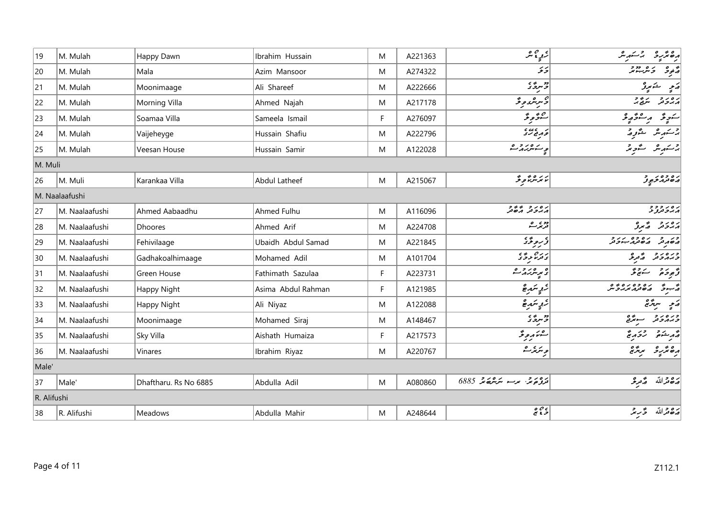| 19          | M. Mulah       | <b>Happy Dawn</b>     | Ibrahim Hussain    | M  | A221363 | لتدبيء                                                      | رەپرىر ئەسىر                                       |
|-------------|----------------|-----------------------|--------------------|----|---------|-------------------------------------------------------------|----------------------------------------------------|
| 20          | M. Mulah       | Mala                  | Azim Mansoor       | M  | A274322 | ىز                                                          | أشره والمعجمة                                      |
| 21          | M. Mulah       | Moonimaage            | Ali Shareef        | M  | A222666 | ود سرچ ی                                                    | أەكىم ئىسكىنى ئى                                   |
| 22          | M. Mulah       | Morning Villa         | Ahmed Najah        | M  | A217178 | ۇ سرىئىدىرۇ                                                 | رەرد رود                                           |
| 23          | M. Mulah       | Soamaa Villa          | Sameela Ismail     | F. | A276097 | رەپچە دۇ                                                    | سَوٍ وَمُسْتَوَوِدُ                                |
| 24          | M. Mulah       | Vaijeheyge            | Hussain Shafiu     | M  | A222796 | <br>  تو مرقع رئ                                            | برسكورش الحقورة                                    |
| 25          | M. Mulah       | Veesan House          | Hussain Samir      | M  | A122028 | و سەنئەر ئەھ                                                | برسكهر شرحر                                        |
| M. Muli     |                |                       |                    |    |         |                                                             |                                                    |
| 26          | M. Muli        | Karankaa Villa        | Abdul Latheef      | M  | A215067 | ر بر ه ره گر<br>ما <del>ب</del> ر مر <i>ما</i> گر           | ړه وه ر په د                                       |
|             | M. Naalaafushi |                       |                    |    |         |                                                             |                                                    |
| 27          | M. Naalaafushi | Ahmed Aabaadhu        | Ahmed Fulhu        | M  | A116096 | رەر د دەر<br>גىرىر مەر                                      | ر ه ر و و و<br>م.پر <del>و</del> مرو نړ            |
| 28          | M. Naalaafushi | <b>Dhoores</b>        | Ahmed Arif         | M  | A224708 | دد ۽ ه                                                      | دەر د پرو                                          |
| 29          | M. Naalaafushi | Fehivilaage           | Ubaidh Abdul Samad | M  | A221845 | اء رہ وی<br>اور مروتری                                      | ר הם תל הם בר היו ב                                |
| 30          | M. Naalaafushi | Gadhakoalhimaaqe      | Mohamed Adil       | M  | A101704 | ر ده ده وي<br>د تر نا نورد                                  | ورەر د ئور                                         |
| 31          | M. Naalaafushi | Green House           | Fathimath Sazulaa  | F. | A223731 | اء بير مركز مركز من<br>  <sub>كم</sub> بير <i>برد م</i> ركز | أَوْجِرْ وَحَمْدٍ سَنَ وَحَمْدِ                    |
| 32          | M. Naalaafushi | <b>Happy Night</b>    | Asima Abdul Rahman | F. | A121985 | ر بو سر مرکع<br>مرکز                                        | ره وه ره ده.<br>په <i>ه در برگ</i> ر<br>ومجسوخ     |
| 33          | M. Naalaafushi | <b>Happy Night</b>    | Ali Niyaz          | M  | A122088 | مح بو سَرم ھ<br>محمد                                        |                                                    |
| 34          | M. Naalaafushi | Moonimaage            | Mohamed Siraj      | M  | A148467 | دو په ده کا<br>تر سرچ ک                                     | ورەر د موردە<br><i>دېم</i> مردىر سومر <sub>ى</sub> |
| 35          | M. Naalaafushi | Sky Villa             | Aishath Humaiza    | F  | A217573 | شەئەرە ئ <sup>ى</sup> ر                                     | وكمرشوخ كركرم                                      |
| 36          | M. Naalaafushi | Vinares               | Ibrahim Riyaz      | M  | A220767 | ا <sub>عب</sub> ترپر قیم                                    | رە ئرىر ئىرىرى                                     |
| Male'       |                |                       |                    |    |         |                                                             |                                                    |
| 37          | Male'          | Dhaftharu. Rs No 6885 | Abdulla Adil       | M  | A080860 | تروم تر. بر سر سرچی قر6885                                  | أرة قرالله وحجيز                                   |
| R. Alifushi |                |                       |                    |    |         |                                                             |                                                    |
| 38          | R. Alifushi    | Meadows               | Abdulla Mahir      | M  | A248644 | 282                                                         | مَدْهِ مِّرَاللَّهُ وَرَبِّرَ                      |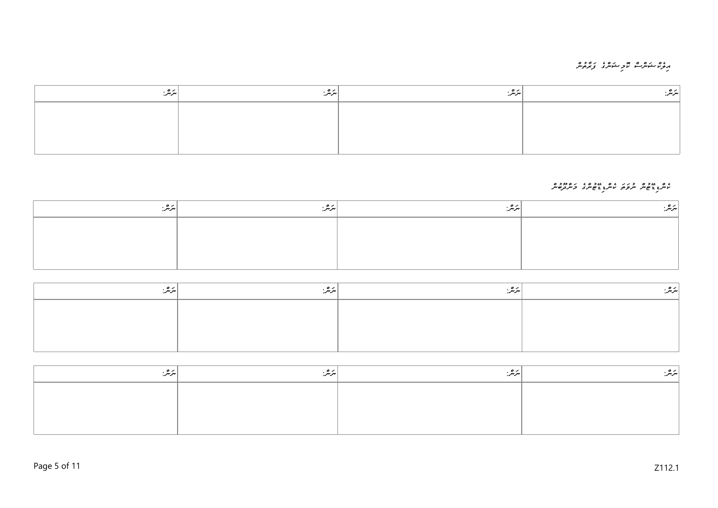## *w7qAn8m?sCw7mRo>u;wEw7mRw;sBo<*

| ' مرمر | 'يئرىثر: |
|--------|----------|
|        |          |
|        |          |
|        |          |

## w*99907 c99u 02 y990 c9000*<br>מית 29 gam=y*7gram*<br>ק

| ىر تە | $\mathcal{O} \times$<br>$\sim$ | $\sim$<br>. . | لترنثر |
|-------|--------------------------------|---------------|--------|
|       |                                |               |        |
|       |                                |               |        |
|       |                                |               |        |

| $\frac{2}{n}$ | $\overline{\phantom{a}}$ | اير هنه. | $\mathcal{O} \times$<br>سرسر |
|---------------|--------------------------|----------|------------------------------|
|               |                          |          |                              |
|               |                          |          |                              |
|               |                          |          |                              |

| ' ئىرتىر: | سر سر |  |
|-----------|-------|--|
|           |       |  |
|           |       |  |
|           |       |  |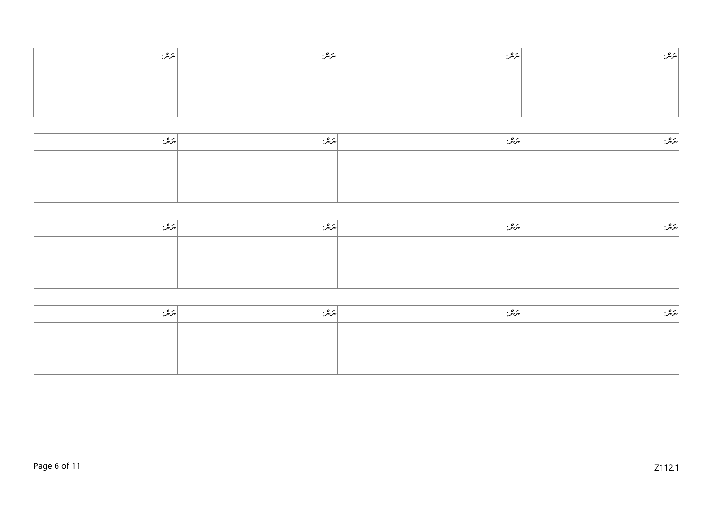| يره. | ο. | ا ير ه |  |
|------|----|--------|--|
|      |    |        |  |
|      |    |        |  |
|      |    |        |  |

| <sup>.</sup> سرسر. |  |
|--------------------|--|
|                    |  |
|                    |  |
|                    |  |

| ىئرىتر. | $\sim$ | ا بر هه. | لىرىش |
|---------|--------|----------|-------|
|         |        |          |       |
|         |        |          |       |
|         |        |          |       |

| يترمثر | $^{\circ}$ | ىر پىر |
|--------|------------|--------|
|        |            |        |
|        |            |        |
|        |            |        |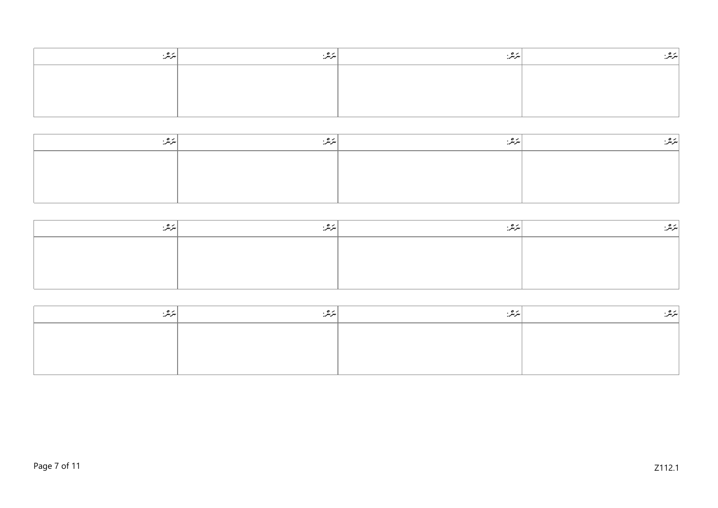| ير هو . | $\overline{\phantom{a}}$ | يرمر | اير هنه. |
|---------|--------------------------|------|----------|
|         |                          |      |          |
|         |                          |      |          |
|         |                          |      |          |

| ىبرىر. | $\sim$<br>ا سرسر . | يئرمثر | o . |
|--------|--------------------|--------|-----|
|        |                    |        |     |
|        |                    |        |     |
|        |                    |        |     |

| 'تترنثر: | 。<br>,,,, |  |
|----------|-----------|--|
|          |           |  |
|          |           |  |
|          |           |  |

|  | . ه |
|--|-----|
|  |     |
|  |     |
|  |     |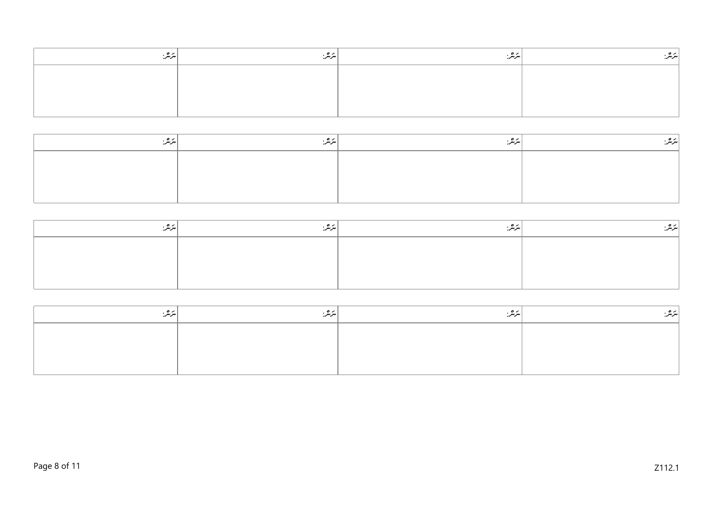| ير هو . | $\overline{\phantom{a}}$ | يرمر | اير هنه. |
|---------|--------------------------|------|----------|
|         |                          |      |          |
|         |                          |      |          |
|         |                          |      |          |

| ىبرىر. | $\sim$<br>ا سرسر . | يئرمثر | o . |
|--------|--------------------|--------|-----|
|        |                    |        |     |
|        |                    |        |     |
|        |                    |        |     |

| 'تترنثر: | 。<br>,,,, |  |
|----------|-----------|--|
|          |           |  |
|          |           |  |
|          |           |  |

|  | . ه |
|--|-----|
|  |     |
|  |     |
|  |     |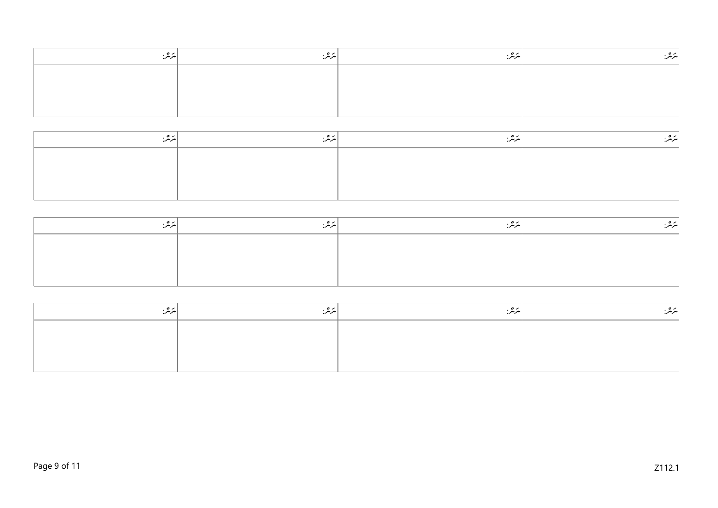| $\cdot$ | 。 | $\frac{\circ}{\cdot}$ | $\sim$<br>سرسر |
|---------|---|-----------------------|----------------|
|         |   |                       |                |
|         |   |                       |                |
|         |   |                       |                |

| ايرعر: | ر ه<br>. . |  |
|--------|------------|--|
|        |            |  |
|        |            |  |
|        |            |  |

| بر ه | 。 | $\sim$<br>َ سومس. |  |
|------|---|-------------------|--|
|      |   |                   |  |
|      |   |                   |  |
|      |   |                   |  |

| 。<br>. س | ىرىىر |  |
|----------|-------|--|
|          |       |  |
|          |       |  |
|          |       |  |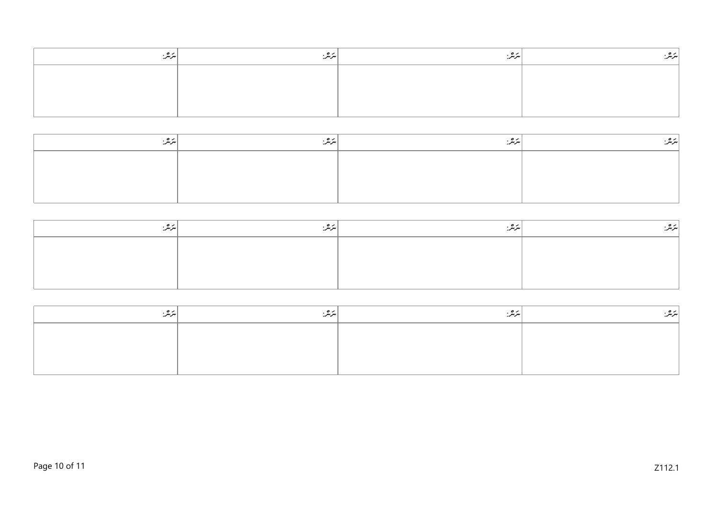| ير هو . | $\overline{\phantom{a}}$ | يرمر | اير هنه. |
|---------|--------------------------|------|----------|
|         |                          |      |          |
|         |                          |      |          |
|         |                          |      |          |

| ىبرىر. | $\sim$<br>ا سرسر . | يئرمثر | o . |
|--------|--------------------|--------|-----|
|        |                    |        |     |
|        |                    |        |     |
|        |                    |        |     |

| كترنثر: | 。 | 。<br>سرسر. | o <i>~</i> |
|---------|---|------------|------------|
|         |   |            |            |
|         |   |            |            |
|         |   |            |            |

|  | . ه |
|--|-----|
|  |     |
|  |     |
|  |     |